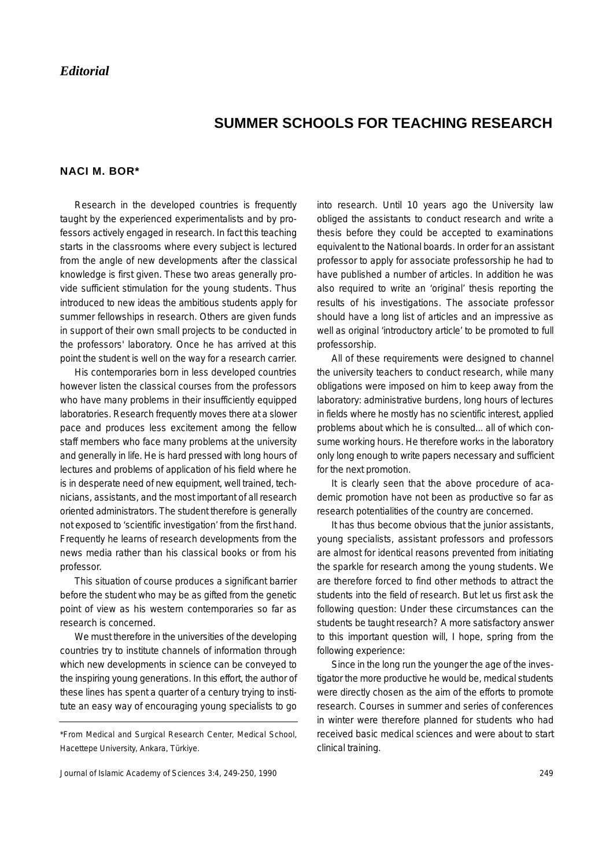## **SUMMER SCHOOLS FOR TEACHING RESEARCH**

## **NACI M. BOR\***

Research in the developed countries is frequently taught by the experienced experimentalists and by professors actively engaged in research. In fact this teaching starts in the classrooms where every subject is lectured from the angle of new developments after the classical knowledge is first given. These two areas generally provide sufficient stimulation for the young students. Thus introduced to new ideas the ambitious students apply for summer fellowships in research. Others are given funds in support of their own small projects to be conducted in the professors' laboratory. Once he has arrived at this point the student is well on the way for a research carrier.

His contemporaries born in less developed countries however listen the classical courses from the professors who have many problems in their insufficiently equipped laboratories. Research frequently moves there at a slower pace and produces less excitement among the fellow staff members who face many problems at the university and generally in life. He is hard pressed with long hours of lectures and problems of application of his field where he is in desperate need of new equipment, well trained, technicians, assistants, and the most important of all research oriented administrators. The student therefore is generally not exposed to 'scientific investigation' from the first hand. Frequently he learns of research developments from the news media rather than his classical books or from his professor.

This situation of course produces a significant barrier before the student who may be as gifted from the genetic point of view as his western contemporaries so far as research is concerned.

We must therefore in the universities of the developing countries try to institute channels of information through which new developments in science can be conveyed to the inspiring young generations. In this effort, the author of these lines has spent a quarter of a century trying to institute an easy way of encouraging young specialists to go into research. Until 10 years ago the University law obliged the assistants to conduct research and write a thesis before they could be accepted to examinations equivalent to the National boards. In order for an assistant professor to apply for associate professorship he had to have published a number of articles. In addition he was also required to write an 'original' thesis reporting the results of his investigations. The associate professor should have a long list of articles and an impressive as well as original 'introductory article' to be promoted to full professorship.

All of these requirements were designed to channel the university teachers to conduct research, while many obligations were imposed on him to keep away from the laboratory: administrative burdens, long hours of lectures in fields where he mostly has no scientific interest, applied problems about which he is consulted... all of which consume working hours. He therefore works in the laboratory only long enough to write papers necessary and sufficient for the next promotion.

It is clearly seen that the above procedure of academic promotion have not been as productive so far as research potentialities of the country are concerned.

It has thus become obvious that the junior assistants, young specialists, assistant professors and professors are almost for identical reasons prevented from initiating the sparkle for research among the young students. We are therefore forced to find other methods to attract the students into the field of research. But let us first ask the following question: Under these circumstances can the students be taught research? A more satisfactory answer to this important question will, I hope, spring from the following experience:

Since in the long run the younger the age of the investigator the more productive he would be, medical students were directly chosen as the aim of the efforts to promote research. Courses in summer and series of conferences in winter were therefore planned for students who had received basic medical sciences and were about to start clinical training.

<sup>\*</sup>From Medical and Surgical Research Center, Medical School, Hacettepe University, Ankara, Türkiye.